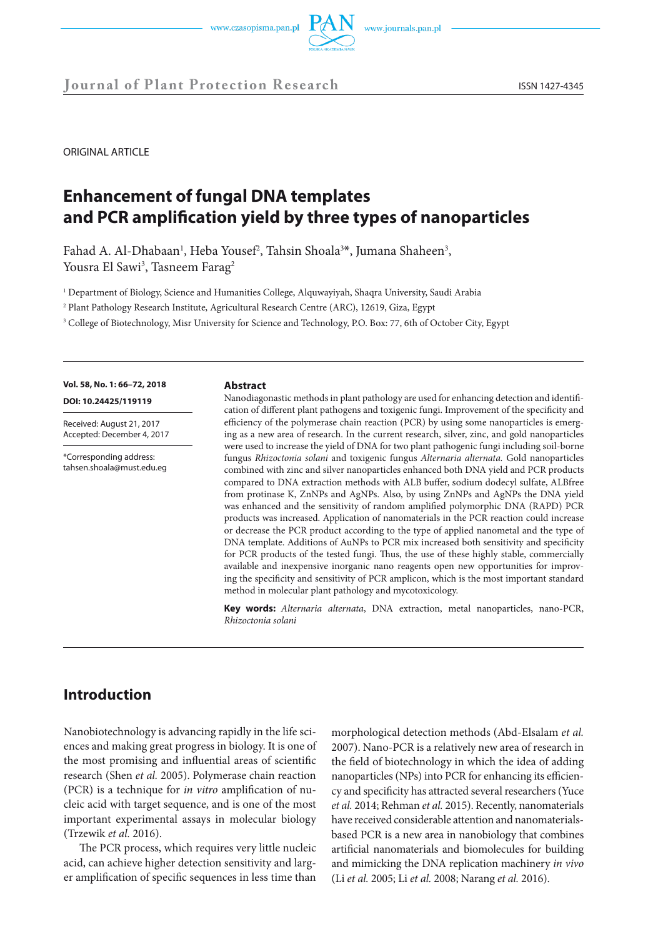



ORIGINAL ARTICLE

# **Enhancement of fungal DNA templates and PCR amplification yield by three types of nanoparticles**

Fahad A. Al-Dhabaan<sup>1</sup>, Heba Yousef<sup>2</sup>, Tahsin Shoala<sup>3\*</sup>, Jumana Shaheen<sup>3</sup>, Yousra El Sawi<sup>3</sup>, Tasneem Farag<sup>2</sup>

1 Department of Biology, Science and Humanities College, Alquwayiyah, Shaqra University, Saudi Arabia

2 Plant Pathology Research Institute, Agricultural Research Centre (ARC), 12619, Giza, Egypt

3 College of Biotechnology, Misr University for Science and Technology, P.O. Box: 77, 6th of October City, Egypt

**Vol. 58, No. 1: 66–72, 2018** 

**DOI: 10.24425/119119** 

Received: August 21, 2017 Accepted: December 4, 2017

\*Corresponding address: tahsen.shoala@must.edu.eg

#### **Abstract**

Nanodiagonastic methods in plant pathology are used for enhancing detection and identification of different plant pathogens and toxigenic fungi. Improvement of the specificity and efficiency of the polymerase chain reaction (PCR) by using some nanoparticles is emerging as a new area of research. In the current research, silver, zinc, and gold nanoparticles were used to increase the yield of DNA for two plant pathogenic fungi including soil-borne fungus *Rhizoctonia solani* and toxigenic fungus *Alternaria alternata.* Gold nanoparticles combined with zinc and silver nanoparticles enhanced both DNA yield and PCR products compared to DNA extraction methods with ALB buffer, sodium dodecyl sulfate, ALBfree from protinase K, ZnNPs and AgNPs. Also, by using ZnNPs and AgNPs the DNA yield was enhanced and the sensitivity of random amplified polymorphic DNA (RAPD) PCR products was increased. Application of nanomaterials in the PCR reaction could increase or decrease the PCR product according to the type of applied nanometal and the type of DNA template. Additions of AuNPs to PCR mix increased both sensitivity and specificity for PCR products of the tested fungi. Thus, the use of these highly stable, commercially available and inexpensive inorganic nano reagents open new opportunities for improving the specificity and sensitivity of PCR amplicon, which is the most important standard method in molecular plant pathology and mycotoxicology.

**Key words:** *Alternaria alternata*, DNA extraction, metal nanoparticles, nano-PCR, *Rhizoctonia solani*

# **Introduction**

Nanobiotechnology is advancing rapidly in the life sciences and making great progress in biology. It is one of the most promising and influential areas of scientific research (Shen *et al.* 2005). Polymerase chain reaction (PCR) is a technique for *in vitro* amplification of nucleic acid with target sequence, and is one of the most important experimental assays in molecular biology (Trzewik *et al.* 2016).

The PCR process, which requires very little nucleic acid, can achieve higher detection sensitivity and larger amplification of specific sequences in less time than morphological detection methods (Abd-Elsalam *et al.*  2007). Nano-PCR is a relatively new area of research in the field of biotechnology in which the idea of adding nanoparticles (NPs) into PCR for enhancing its efficiency and specificity has attracted several researchers (Yuce *et al.* 2014; Rehman *et al.* 2015). Recently, nanomaterials have received considerable attention and nanomaterialsbased PCR is a new area in nanobiology that combines artificial nanomaterials and biomolecules for building and mimicking the DNA replication machinery *in vivo* (Li *et al.* 2005; Li *et al.* 2008; Narang *et al.* 2016).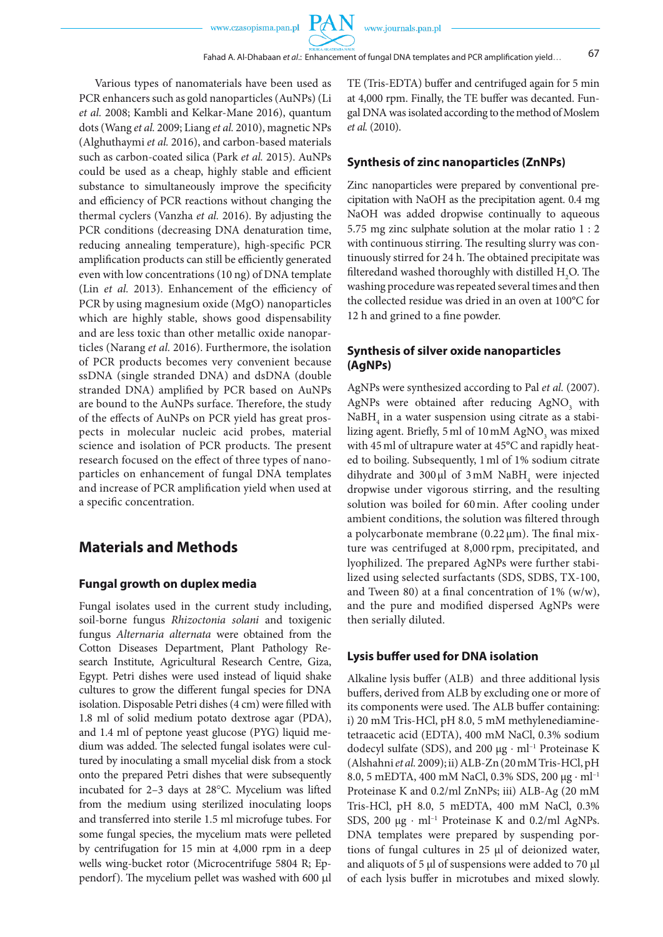Fahad A. Al-Dhabaan *et al*.: Enhancement of fungal DNA templates and PCR amplification yield… 67

PA N

Various types of nanomaterials have been used as PCR enhancers such as gold nanoparticles (AuNPs) (Li *et al.* 2008; Kambli and Kelkar-Mane 2016), quantum dots (Wang *et al.* 2009; Liang *et al.* 2010), magnetic NPs (Alghuthaymi *et al.* 2016), and carbon-based materials such as carbon-coated silica (Park *et al.* 2015). AuNPs could be used as a cheap, highly stable and efficient substance to simultaneously improve the specificity and efficiency of PCR reactions without changing the thermal cyclers (Vanzha *et al.* 2016). By adjusting the PCR conditions (decreasing DNA denaturation time, reducing annealing temperature), high-specific PCR amplification products can still be efficiently generated even with low concentrations (10 ng) of DNA template (Lin *et al.* 2013). Enhancement of the efficiency of PCR by using magnesium oxide (MgO) nanoparticles which are highly stable, shows good dispensability and are less toxic than other metallic oxide nanoparticles (Narang *et al.* 2016). Furthermore, the isolation of PCR products becomes very convenient because ssDNA (single stranded DNA) and dsDNA (double stranded DNA) amplified by PCR based on AuNPs are bound to the AuNPs surface. Therefore, the study of the effects of AuNPs on PCR yield has great prospects in molecular nucleic acid probes, material science and isolation of PCR products. The present research focused on the effect of three types of nanoparticles on enhancement of fungal DNA templates and increase of PCR amplification yield when used at a specific concentration.

# **Materials and Methods**

#### **Fungal growth on duplex media**

Fungal isolates used in the current study including, soil-borne fungus *Rhizoctonia solani* and toxigenic fungus *Alternaria alternata* were obtained from the Cotton Diseases Department, Plant Pathology Research Institute, Agricultural Research Centre, Giza, Egypt. Petri dishes were used instead of liquid shake cultures to grow the different fungal species for DNA isolation. Disposable Petri dishes (4 cm) were filled with 1.8 ml of solid medium potato dextrose agar (PDA), and 1.4 ml of peptone yeast glucose (PYG) liquid medium was added. The selected fungal isolates were cultured by inoculating a small mycelial disk from a stock onto the prepared Petri dishes that were subsequently incubated for 2–3 days at 28°C. Mycelium was lifted from the medium using sterilized inoculating loops and transferred into sterile 1.5 ml microfuge tubes. For some fungal species, the mycelium mats were pelleted by centrifugation for 15 min at 4,000 rpm in a deep wells wing-bucket rotor (Microcentrifuge 5804 R; Eppendorf). The mycelium pellet was washed with 600 µl

TE (Tris-EDTA) buffer and centrifuged again for 5 min at 4,000 rpm. Finally, the TE buffer was decanted. Fungal DNA was isolated according to the method of Moslem *et al.* (2010).

#### **Synthesis of zinc nanoparticles (ZnNPs)**

Zinc nanoparticles were prepared by conventional precipitation with NaOH as the precipitation agent. 0.4 mg NaOH was added dropwise continually to aqueous 5.75 mg zinc sulphate solution at the molar ratio 1 : 2 with continuous stirring. The resulting slurry was continuously stirred for 24 h. The obtained precipitate was filteredand washed thoroughly with distilled  $\rm H_2O.$  The washing procedure was repeated several times and then the collected residue was dried in an oven at 100°C for 12 h and grined to a fine powder.

# **Synthesis of silver oxide nanoparticles (AgNPs)**

AgNPs were synthesized according to Pal *et al.* (2007). AgNPs were obtained after reducing  $\text{AgNO}_3$  with  $N$ a $BH$ <sub>4</sub> in a water suspension using citrate as a stabilizing agent. Briefly, 5 ml of 10 mM  $\mathrm{AgNO}_{\mathfrak{z}}$  was mixed with 45ml of ultrapure water at 45°C and rapidly heated to boiling. Subsequently, 1ml of 1% sodium citrate dihydrate and  $300 \mu l$  of  $3 \text{ mM }$  NaBH<sub>4</sub> were injected dropwise under vigorous stirring, and the resulting solution was boiled for 60 min. After cooling under ambient conditions, the solution was filtered through a polycarbonate membrane (0.22 μm). The final mixture was centrifuged at 8,000 rpm, precipitated, and lyophilized. The prepared AgNPs were further stabilized using selected surfactants (SDS, SDBS, TX-100, and Tween 80) at a final concentration of  $1\%$  (w/w), and the pure and modified dispersed AgNPs were then serially diluted.

#### **Lysis buffer used for DNA isolation**

Alkaline lysis buffer (ALB) and three additional lysis buffers, derived from ALB by excluding one or more of its components were used. The ALB buffer containing: i) 20 mM Tris-HCl, pH 8.0, 5 mM methylenediaminetetraacetic acid (EDTA), 400 mM NaCl, 0.3% sodium dodecyl sulfate (SDS), and 200 µg ⋅ ml–1 Proteinase K (Alshahni *et al.* 2009); ii) ALB-Zn (20 mM Tris-HCl, pH 8.0, 5 mEDTA, 400 mM NaCl, 0.3% SDS, 200 μg ⋅ ml<sup>-1</sup> Proteinase K and 0.2/ml ZnNPs; iii) ALB-Ag (20 mM Tris-HCl, pH 8.0, 5 mEDTA, 400 mM NaCl, 0.3% SDS, 200 μg · ml<sup>-1</sup> Proteinase K and 0.2/ml AgNPs. DNA templates were prepared by suspending portions of fungal cultures in 25 µl of deionized water, and aliquots of 5 µl of suspensions were added to 70 µl of each lysis buffer in microtubes and mixed slowly.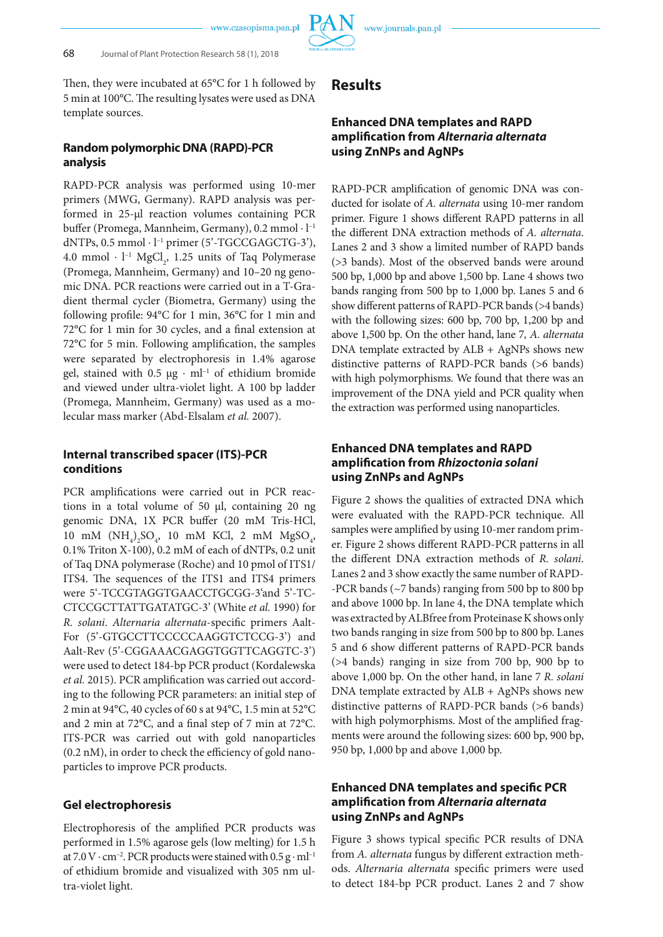

Then, they were incubated at 65°C for 1 h followed by 5 min at 100°C. The resulting lysates were used as DNA template sources.

# **Random polymorphic DNA (RAPD)-PCR analysis**

RAPD-PCR analysis was performed using 10-mer primers (MWG, Germany). RAPD analysis was performed in 25-µl reaction volumes containing PCR buffer (Promega, Mannheim, Germany), 0.2 mmol ⋅ l–1 dNTPs,  $0.5$  mmol  $\cdot$  l<sup>-1</sup> primer (5'-TGCCGAGCTG-3'), 4.0 mmol  $\cdot$  l<sup>-1</sup> MgCl<sub>2</sub>, 1.25 units of Taq Polymerase (Promega, Mannheim, Germany) and 10–20 ng genomic DNA. PCR reactions were carried out in a T-Gradient thermal cycler (Biometra, Germany) using the following profile: 94°C for 1 min, 36°C for 1 min and 72°C for 1 min for 30 cycles, and a final extension at 72°C for 5 min. Following amplification, the samples were separated by electrophoresis in 1.4% agarose gel, stained with 0.5 μg · ml<sup>-1</sup> of ethidium bromide and viewed under ultra-violet light. A 100 bp ladder (Promega, Mannheim, Germany) was used as a molecular mass marker (Abd-Elsalam *et al.* 2007).

# **Internal transcribed spacer (ITS)-PCR conditions**

PCR amplifications were carried out in PCR reactions in a total volume of 50 μl, containing 20 ng genomic DNA, 1X PCR buffer (20 mM Tris-HCl, 10 mM  $(NH_4)_2SO_4$ , 10 mM KCl, 2 mM  $MgSO_4$ , 0.1% Triton X-100), 0.2 mM of each of dNTPs, 0.2 unit of Taq DNA polymerase (Roche) and 10 pmol of ITS1/ ITS4. The sequences of the ITS1 and ITS4 primers were 5'-TCCGTAGGTGAACCTGCGG-3'and 5'-TC-CTCCGCTTATTGATATGC-3' (White *et al.* 1990) for *R. solani*. *Alternaria alternata*-specific primers Aalt-For (5'-GTGCCTTCCCCCAAGGTCTCCG-3') and Aalt-Rev (5'-CGGAAACGAGGTGGTTCAGGTC-3') were used to detect 184-bp PCR product (Kordalewska *et al.* 2015). PCR amplification was carried out according to the following PCR parameters: an initial step of 2 min at 94°C, 40 cycles of 60 s at 94°C, 1.5 min at 52°C and 2 min at 72°C, and a final step of 7 min at 72°C. ITS-PCR was carried out with gold nanoparticles (0.2 nM), in order to check the efficiency of gold nanoparticles to improve PCR products.

### **Gel electrophoresis**

Electrophoresis of the amplified PCR products was performed in 1.5% agarose gels (low melting) for 1.5 h at 7.0 V · cm<sup>-2</sup>. PCR products were stained with  $0.5 g \cdot ml^{-1}$ of ethidium bromide and visualized with 305 nm ultra-violet light.

# **Results**

# **Enhanced DNA templates and RAPD amplification from** *Alternaria alternata* **using ZnNPs and AgNPs**

RAPD-PCR amplification of genomic DNA was conducted for isolate of *A. alternata* using 10-mer random primer. Figure 1 shows different RAPD patterns in all the different DNA extraction methods of *A. alternata*. Lanes 2 and 3 show a limited number of RAPD bands (>3 bands). Most of the observed bands were around 500 bp, 1,000 bp and above 1,500 bp. Lane 4 shows two bands ranging from 500 bp to 1,000 bp. Lanes 5 and 6 show different patterns of RAPD-PCR bands (>4 bands) with the following sizes: 600 bp, 700 bp, 1,200 bp and above 1,500 bp. On the other hand, lane 7*, A. alternata* DNA template extracted by ALB + AgNPs shows new distinctive patterns of RAPD-PCR bands (>6 bands) with high polymorphisms. We found that there was an improvement of the DNA yield and PCR quality when the extraction was performed using nanoparticles.

# **Enhanced DNA templates and RAPD amplification from** *Rhizoctonia solani* **using ZnNPs and AgNPs**

Figure 2 shows the qualities of extracted DNA which were evaluated with the RAPD-PCR technique. All samples were amplified by using 10-mer random primer. Figure 2 shows different RAPD-PCR patterns in all the different DNA extraction methods of *R. solani*. Lanes 2 and 3 show exactly the same number of RAPD- -PCR bands (~7 bands) ranging from 500 bp to 800 bp and above 1000 bp. In lane 4, the DNA template which was extracted by ALBfree from Proteinase K shows only two bands ranging in size from 500 bp to 800 bp. Lanes 5 and 6 show different patterns of RAPD-PCR bands (>4 bands) ranging in size from 700 bp, 900 bp to above 1,000 bp. On the other hand, in lane 7 *R. solani* DNA template extracted by ALB + AgNPs shows new distinctive patterns of RAPD-PCR bands (>6 bands) with high polymorphisms. Most of the amplified fragments were around the following sizes: 600 bp, 900 bp, 950 bp, 1,000 bp and above 1,000 bp.

# **Enhanced DNA templates and specific PCR amplification from** *Alternaria alternata* **using ZnNPs and AgNPs**

Figure 3 shows typical specific PCR results of DNA from *A. alternata* fungus by different extraction methods. *Alternaria alternata* specific primers were used to detect 184-bp PCR product. Lanes 2 and 7 show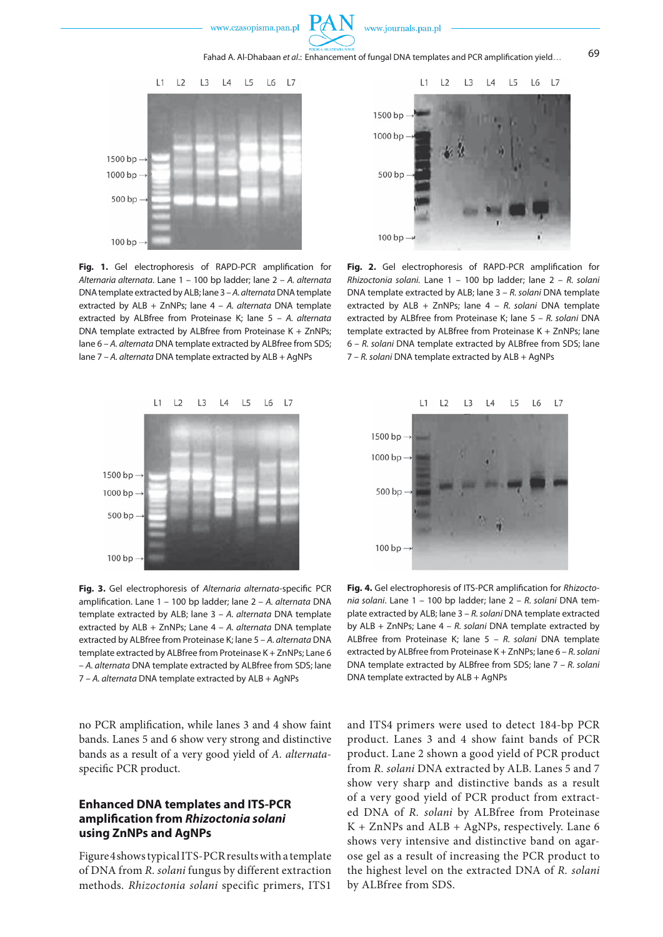

Fahad A. Al-Dhabaan *et al.*: Enhancement of fungal DNA templates and PCR amplification yield… 69



**Fig. 1.** Gel electrophoresis of RAPD-PCR amplification for *Alternaria alternata*. Lane 1 – 100 bp ladder; lane 2 – *A. alternata* DNA template extracted by ALB; lane 3 – *A. alternata* DNA template extracted by ALB + ZnNPs; lane 4 – *A. alternata* DNA template extracted by ALBfree from Proteinase K; lane 5 – *A. alternata* DNA template extracted by ALBfree from Proteinase K + ZnNPs; lane 6 – *A. alternata* DNA template extracted by ALBfree from SDS; lane 7 – *A. alternata* DNA template extracted by ALB + AgNPs



**Fig. 2.** Gel electrophoresis of RAPD-PCR amplification for *Rhizoctonia solani.* Lane 1 – 100 bp ladder; lane 2 – *R. solani* DNA template extracted by ALB; lane 3 – *R. solani* DNA template extracted by ALB + ZnNPs; lane 4 – *R. solani* DNA template extracted by ALBfree from Proteinase K; lane 5 – *R. solani* DNA template extracted by ALBfree from Proteinase K + ZnNPs; lane 6 – *R. solani* DNA template extracted by ALBfree from SDS; lane 7 – *R. solani* DNA template extracted by ALB + AgNPs



**Fig. 3.** Gel electrophoresis of *Alternaria alternata*-specific PCR amplification. Lane 1 – 100 bp ladder; lane 2 – *A. alternata* DNA template extracted by ALB; lane 3 – *A. alternata* DNA template extracted by ALB + ZnNPs; Lane 4 – *A. alternata* DNA template extracted by ALBfree from Proteinase K; lane 5 – *A. alternata* DNA template extracted by ALBfree from Proteinase K + ZnNPs; Lane 6 – *A. alternata* DNA template extracted by ALBfree from SDS; lane 7 – *A. alternata* DNA template extracted by ALB + AgNPs

no PCR amplification, while lanes 3 and 4 show faint bands. Lanes 5 and 6 show very strong and distinctive bands as a result of a very good yield of *A. alternata*specific PCR product.

# **Enhanced DNA templates and ITS-PCR amplification from** *Rhizoctonia solani* **using ZnNPs and AgNPs**

Figure 4 shows typical ITS-PCR results with a template of DNA from *R. solani* fungus by different extraction methods. *Rhizoctonia solani* specific primers, ITS1



**Fig. 4.** Gel electrophoresis of ITS-PCR amplification for *Rhizoctonia solani*. Lane 1 – 100 bp ladder; lane 2 – *R. solani* DNA template extracted by ALB; lane 3 – *R. solani* DNA template extracted by ALB + ZnNPs; Lane 4 – *R. solani* DNA template extracted by ALBfree from Proteinase K; lane 5 – *R. solani* DNA template extracted by ALBfree from Proteinase K + ZnNPs; lane 6 – *R. solani* DNA template extracted by ALBfree from SDS; lane 7 – *R. solani* DNA template extracted by ALB + AgNPs

and ITS4 primers were used to detect 184-bp PCR product. Lanes 3 and 4 show faint bands of PCR product. Lane 2 shown a good yield of PCR product from *R. solani* DNA extracted by ALB. Lanes 5 and 7 show very sharp and distinctive bands as a result of a very good yield of PCR product from extracted DNA of *R. solani* by ALBfree from Proteinase K + ZnNPs and ALB + AgNPs, respectively. Lane 6 shows very intensive and distinctive band on agarose gel as a result of increasing the PCR product to the highest level on the extracted DNA of *R. solani* by ALBfree from SDS.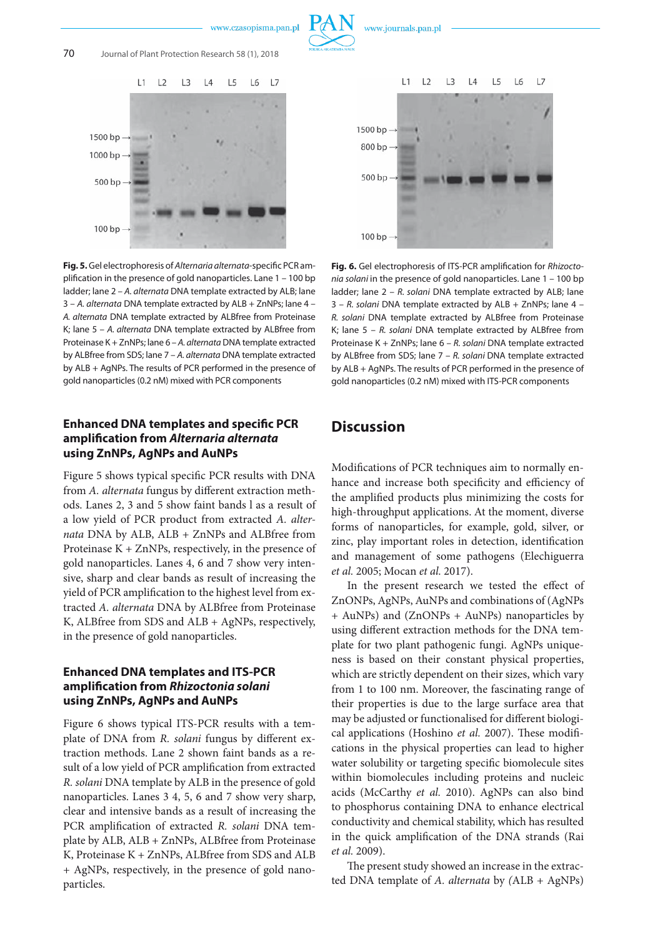

**Fig. 5.** Gel electrophoresis of *Alternaria alternata*-specific PCR amplification in the presence of gold nanoparticles. Lane 1 – 100 bp ladder; lane 2 – *A. alternata* DNA template extracted by ALB; lane 3 – *A. alternata* DNA template extracted by ALB + ZnNPs; lane 4 – *A. alternata* DNA template extracted by ALBfree from Proteinase K; lane 5 – *A. alternata* DNA template extracted by ALBfree from Proteinase K + ZnNPs; lane 6 – *A. alternata* DNA template extracted by ALBfree from SDS; lane 7 – *A. alternata* DNA template extracted by ALB + AgNPs. The results of PCR performed in the presence of gold nanoparticles (0.2 nM) mixed with PCR components

# **Enhanced DNA templates and specific PCR amplification from** *Alternaria alternata* **using ZnNPs, AgNPs and AuNPs**

Figure 5 shows typical specific PCR results with DNA from *A. alternata* fungus by different extraction methods. Lanes 2, 3 and 5 show faint bands l as a result of a low yield of PCR product from extracted *A. alternata* DNA by ALB, ALB + ZnNPs and ALBfree from Proteinase  $K + ZnNPs$ , respectively, in the presence of gold nanoparticles. Lanes 4, 6 and 7 show very intensive, sharp and clear bands as result of increasing the yield of PCR amplification to the highest level from extracted *A. alternata* DNA by ALBfree from Proteinase K, ALBfree from SDS and ALB + AgNPs, respectively, in the presence of gold nanoparticles.

### **Enhanced DNA templates and ITS-PCR amplification from** *Rhizoctonia solani* **using ZnNPs, AgNPs and AuNPs**

Figure 6 shows typical ITS-PCR results with a template of DNA from *R. solani* fungus by different extraction methods. Lane 2 shown faint bands as a result of a low yield of PCR amplification from extracted *R. solani* DNA template by ALB in the presence of gold nanoparticles. Lanes 3 4, 5, 6 and 7 show very sharp, clear and intensive bands as a result of increasing the PCR amplification of extracted *R. solani* DNA template by ALB, ALB + ZnNPs, ALBfree from Proteinase K, Proteinase K + ZnNPs, ALBfree from SDS and ALB + AgNPs, respectively, in the presence of gold nanoparticles.



**Fig. 6.** Gel electrophoresis of ITS-PCR amplification for *Rhizoctonia solani* in the presence of gold nanoparticles. Lane 1 – 100 bp ladder; lane 2 – *R. solani* DNA template extracted by ALB; lane 3 – *R. solani* DNA template extracted by ALB + ZnNPs; lane 4 – *R. solani* DNA template extracted by ALBfree from Proteinase K; lane 5 – *R. solani* DNA template extracted by ALBfree from Proteinase K + ZnNPs; lane 6 – *R. solani* DNA template extracted by ALBfree from SDS; lane 7 – *R. solani* DNA template extracted by ALB + AgNPs. The results of PCR performed in the presence of gold nanoparticles (0.2 nM) mixed with ITS-PCR components

# **Discussion**

Modifications of PCR techniques aim to normally enhance and increase both specificity and efficiency of the amplified products plus minimizing the costs for high-throughput applications. At the moment, diverse forms of nanoparticles, for example, gold, silver, or zinc, play important roles in detection, identification and management of some pathogens (Elechiguerra *et al.* 2005; Mocan *et al.* 2017).

In the present research we tested the effect of ZnONPs, AgNPs, AuNPs and combinations of (AgNPs + AuNPs) and (ZnONPs + AuNPs) nanoparticles by using different extraction methods for the DNA template for two plant pathogenic fungi. AgNPs uniqueness is based on their constant physical properties, which are strictly dependent on their sizes, which vary from 1 to 100 nm. Moreover, the fascinating range of their properties is due to the large surface area that may be adjusted or functionalised for different biological applications (Hoshino *et al.* 2007). These modifications in the physical properties can lead to higher water solubility or targeting specific biomolecule sites within biomolecules including proteins and nucleic acids (McCarthy *et al.* 2010). AgNPs can also bind to phosphorus containing DNA to enhance electrical conductivity and chemical stability, which has resulted in the quick amplification of the DNA strands (Rai *et al.* 2009).

The present study showed an increase in the extracted DNA template of *A. alternata* by *(*ALB + AgNPs)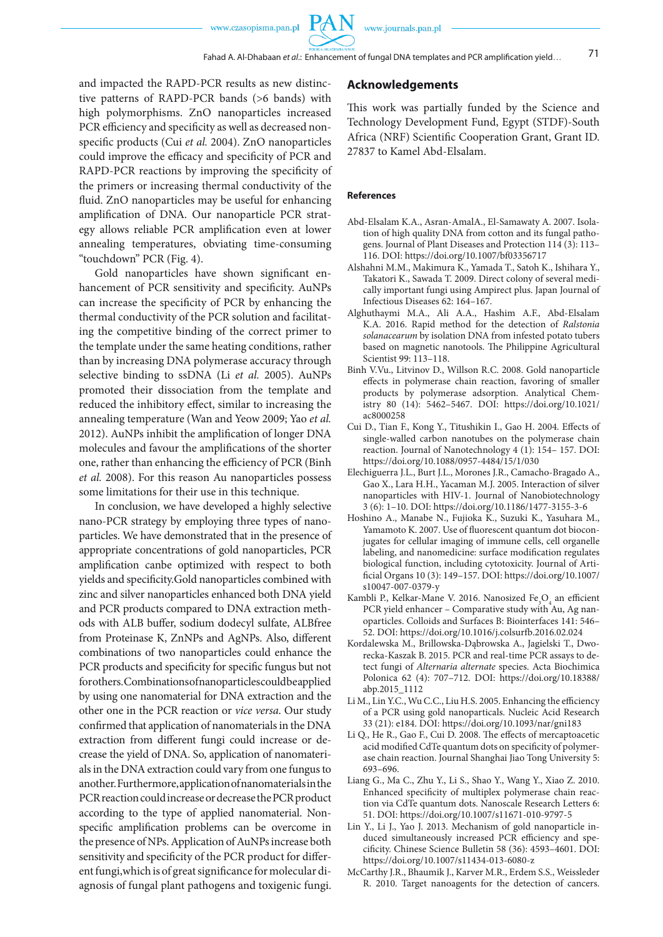**PAN** 

and impacted the RAPD-PCR results as new distinctive patterns of RAPD-PCR bands (>6 bands) with high polymorphisms. ZnO nanoparticles increased PCR efficiency and specificity as well as decreased nonspecific products (Cui *et al.* 2004). ZnO nanoparticles could improve the efficacy and specificity of PCR and RAPD-PCR reactions by improving the specificity of the primers or increasing thermal conductivity of the fluid. ZnO nanoparticles may be useful for enhancing amplification of DNA. Our nanoparticle PCR strategy allows reliable PCR amplification even at lower annealing temperatures, obviating time-consuming "touchdown" PCR (Fig. 4).

Gold nanoparticles have shown significant enhancement of PCR sensitivity and specificity. AuNPs can increase the specificity of PCR by enhancing the thermal conductivity of the PCR solution and facilitating the competitive binding of the correct primer to the template under the same heating conditions, rather than by increasing DNA polymerase accuracy through selective binding to ssDNA (Li *et al.* 2005). AuNPs promoted their dissociation from the template and reduced the inhibitory effect, similar to increasing the annealing temperature (Wan and Yeow 2009; Yao *et al.* 2012). AuNPs inhibit the amplification of longer DNA molecules and favour the amplifications of the shorter one, rather than enhancing the efficiency of PCR (Binh *et al.* 2008). For this reason Au nanoparticles possess some limitations for their use in this technique.

In conclusion, we have developed a highly selective nano-PCR strategy by employing three types of nanoparticles. We have demonstrated that in the presence of appropriate concentrations of gold nanoparticles, PCR amplification canbe optimized with respect to both yields and specificity.Gold nanoparticles combined with zinc and silver nanoparticles enhanced both DNA yield and PCR products compared to DNA extraction methods with ALB buffer, sodium dodecyl sulfate, ALBfree from Proteinase K, ZnNPs and AgNPs. Also, different combinations of two nanoparticles could enhance the PCR products and specificity for specific fungus but not for others. Combinations of nanoparticles could be applied by using one nanomaterial for DNA extraction and the other one in the PCR reaction or *vice versa*. Our study confirmed that application of nanomaterials in the DNA extraction from different fungi could increase or decrease the yield of DNA. So, application of nanomaterials in the DNA extraction could vary from one fungus to another. Furthermore, application of nanomaterials in the PCR reaction could increase or decrease the PCR product according to the type of applied nanomaterial. Nonspecific amplification problems can be overcome in the presence of NPs. Application of AuNPs increase both sensitivity and specificity of the PCR product for different fungi,which is of great significance for molecular diagnosis of fungal plant pathogens and toxigenic fungi.

### **Acknowledgements**

This work was partially funded by the Science and Technology Development Fund, Egypt (STDF)-South Africa (NRF) Scientific Cooperation Grant, Grant ID. 27837 to Kamel Abd-Elsalam.

#### **References**

- Abd-Elsalam K.A., Asran-AmalA., El-Samawaty A. 2007. Isolation of high quality DNA from cotton and its fungal pathogens. Journal of Plant Diseases and Protection 114 (3): 113– 116. DOI: https://doi.org/10.1007/bf03356717
- Alshahni M.M., Makimura K., Yamada T., Satoh K., Ishihara Y., Takatori K., Sawada T. 2009. Direct colony of several medically important fungi using Ampirect plus. Japan Journal of Infectious Diseases 62: 164–167.
- Alghuthaymi M.A., Ali A.A., Hashim A.F., Abd-Elsalam K.A. 2016. Rapid method for the detection of *Ralstonia solanacearum* by isolation DNA from infested potato tubers based on magnetic nanotools. The Philippine Agricultural Scientist 99: 113–118.
- Binh V.Vu., Litvinov D., Willson R.C. 2008. Gold nanoparticle effects in polymerase chain reaction, favoring of smaller products by polymerase adsorption. Analytical Chemistry 80 (14): 5462–5467. DOI: https://doi.org/10.1021/ ac8000258
- Cui D., Tian F., Kong Y., Titushikin I., Gao H. 2004. Effects of single-walled carbon nanotubes on the polymerase chain reaction. Journal of Nanotechnology 4 (1): 154– 157. DOI: https://doi.org/10.1088/0957-4484/15/1/030
- Elechiguerra J.L., Burt J.L., Morones J.R., Camacho-Bragado A., Gao X., Lara H.H., Yacaman M.J. 2005. Interaction of silver nanoparticles with HIV-1. Journal of Nanobiotechnology 3 (6): 1–10. DOI: https://doi.org/10.1186/1477-3155-3-6
- Hoshino A., Manabe N., Fujioka K., Suzuki K., Yasuhara M., Yamamoto K. 2007. Use of fluorescent quantum dot bioconjugates for cellular imaging of immune cells, cell organelle labeling, and nanomedicine: surface modification regulates biological function, including cytotoxicity. Journal of Artificial Organs 10 (3): 149–157. DOI: https://doi.org/10.1007/ s10047-007-0379-y
- Kambli P., Kelkar-Mane V. 2016. Nanosized  $Fe<sub>3</sub>O<sub>4</sub>$  an efficient PCR yield enhancer – Comparative study with Au, Ag nanoparticles. Colloids and Surfaces B: Biointerfaces 141: 546– 52. DOI: https://doi.org/10.1016/j.colsurfb.2016.02.024
- Kordalewska M., Brillowska-Dąbrowska A., Jagielski T., Dworecka-Kaszak B. 2015. PCR and real-time PCR assays to detect fungi of *Alternaria alternate* species. Acta Biochimica Polonica 62 (4): 707–712. DOI: https://doi.org/10.18388/ abp.2015\_1112
- Li M., Lin Y.C., Wu C.C., Liu H.S. 2005. Enhancing the efficiency of a PCR using gold nanoparticals. Nucleic Acid Research 33 (21): e184. DOI: https://doi.org/10.1093/nar/gni183
- Li Q., He R., Gao F., Cui D. 2008. The effects of mercaptoacetic acid modified CdTe quantum dots on specificity of polymerase chain reaction. Journal Shanghai Jiao Tong University 5: 693–696.
- Liang G., Ma C., Zhu Y., Li S., Shao Y., Wang Y., Xiao Z. 2010. Enhanced specificity of multiplex polymerase chain reaction via CdTe quantum dots. Nanoscale Research Letters 6: 51. DOI: https://doi.org/10.1007/s11671-010-9797-5
- Lin Y., Li J., Yao J. 2013. Mechanism of gold nanoparticle induced simultaneously increased PCR efficiency and specificity. Chinese Science Bulletin 58 (36): 4593–4601. DOI: https://doi.org/10.1007/s11434-013-6080-z
- McCarthy J.R., Bhaumik J., Karver M.R., Erdem S.S., Weissleder R. 2010. Target nanoagents for the detection of cancers.